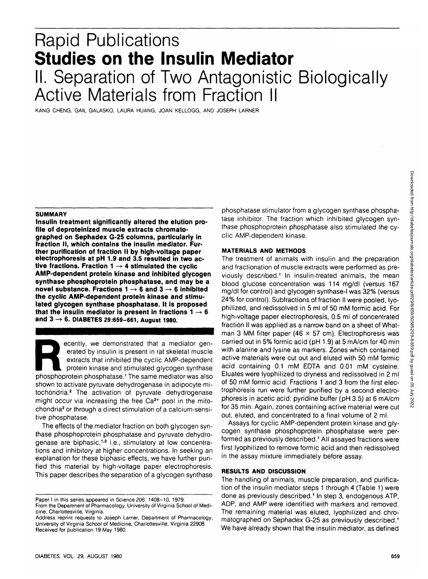KANG CHENG, GAIL GALASKO, LAURA HUANG, JOAN KELLOGG, AND JOSEPH LARNER

#### **SUMMARY**

**Insulin treatment significantly altered the elution profile of deproteinized muscle extracts chromatographed on Sephadex G-25 columns, particularly in fraction II, which contains the insulin mediator. Further purification of fraction II by high-voltage paper electrophoresis at pH 1.9 and 3.5 resulted in two ac**tive fractions. Fraction  $1 \rightarrow 4$  stimulated the cyclic **AMP-dependent protein kinase and inhibited glycogen synthase phosphoprotein phosphatase, and may be a novel substance. Fractions 1 —> 6 and 3 -> 6 inhibited the cyclic AMP-dependent protein kinase and stimulated glycogen synthase phosphatase. It is proposed** that the insulin mediator is present in fractions  $1 \rightarrow 6$ **and 3 -> 6. DIABETES 29:659-661, August 1980.**

ecently, we demonstrated that a mediator generated by insulin is present in rat skeletal muscle<br>extracts that inhibited the cyclic AMP-dependent<br>protein kinase and stimulated glycogen synthase<br>phosphoprotein phosphatase.<sup>1</sup> erated by insulin is present in rat skeletal muscle extracts that inhibited the cyclic AMP-dependent protein kinase and stimulated glycogen synthase shown to activate pyruvate dehydrogenase in adipocyte mitochondria.<sup>2</sup> The activation of pyruvate dehydrogenase might occur via increasing the free  $Ca<sup>2+</sup>$  pool in the mitochondria<sup>2</sup> or through a direct stimulation of a calcium-sensitive phosphatase.

The effects of the mediator fraction on both glycogen synthase phosphoprotein phosphatase and pyruvate dehydrogenase are biphasic,<sup>1,2</sup> i.e., stimulatory at low concentrations and inhibitory at higher concentrations. In seeking an explanation for these biphasic effects, we have further purified this material by high-voltage paper electrophoresis. This paper describes the separation of a glycogen synthase

phosphatase stimulator from a glycogen synthase phosphatase inhibitor. The fraction which inhibited glycogen synthase phosphoprotein phosphatase also stimulated the cyclic AMP-dependent kinase.

### **MATERIALS AND METHODS**

The treatment of animals with insulin and the preparation and fractionation of muscle extracts were performed as previously described.<sup>1</sup> In insulin-treated animals, the mean blood glucose concentration was 114 mg/dl (versus 167 mg/dl for control) and glycogen synthase-l was 32% (versus 24% for control). Subfractions of fraction II were pooled, lyophilized, and redissolved in 5 ml of 50 mM formic acid. For high-voltage paper electrophoresis, 0.5 ml of concentrated fraction II was applied as a narrow band on a sheet of Whatman 3 MM filter paper (46  $\times$  57 cm). Electrophoresis was carried out in 5% formic acid (pH 1.9) at 5 mA/cm for 40 min with alanine and lysine as markers. Zones which contained active materials were cut out and eluted with 50 mM formic acid containing 0.1 mM EDTA and 0.01 mM cysteine. Eluates were lyophilized to dryness and redissolved in 2 ml of 50 mM formic acid. Fractions 1 and 3 from the first electrophoresis run were further purified by a second electrophoresis in acetic acid: pyridine buffer (pH 3.5) at 6 mA/cm for 35 min. Again, zones containing active material were cut out, eluted, and concentrated to a final volume of 2 ml.

Assays for cyclic AMP-dependent protein kinase and glycogen synthase phosphoprotein phosphatase were performed as previously described.<sup>1</sup> All assayed fractions were first lyophilized to remove formic acid and then redissolved in the assay mixture immediately before assay.

# **RESULTS AND DISCUSSION**

The handling of animals, muscle preparation, and purification of the insulin mediator steps 1 through 4 (Table 1) were done as previously described.<sup>1</sup> In step 3, endogenous ATP, ADP, and AMP were identified with markers and removed. The remaining material was eluted, lyophilized and chromatographed on Sephadex G-25 as previously described.<sup>1</sup> We have already shown that the insulin mediator, as defined

Paper I in this series appeared in Science 206: 1408-10, 1979 From the Department of Pharmacology, University of Virginia School of Medi-

cine, Charlottesville, Virginia. Address reprint requests to Joseph Lamer, Department of Pharmacology, University of Virginia School of Medicine, Charlottesville, Virginia 22908. Received for publication 19 May 1980.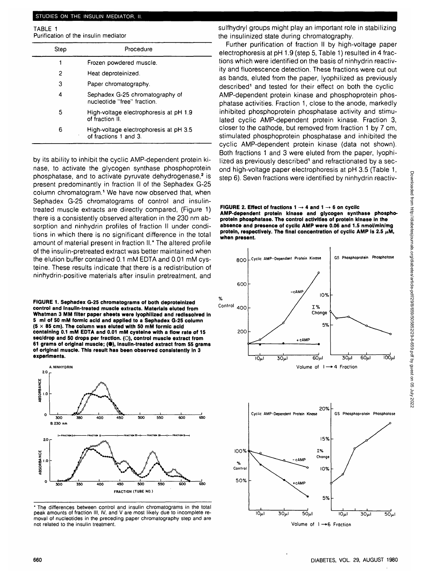# STUDIES ON THE INSULIN MEDIATOR, II.

TABLE 1 Purification of the insulin mediator

| Step | Procedure                                                       |
|------|-----------------------------------------------------------------|
|      | Frozen powdered muscle.                                         |
| 2    | Heat deproteinized.                                             |
| з    | Paper chromatography.                                           |
| 4    | Sephadex G-25 chromatography of<br>nucleotide "free" fraction.  |
| 5    | High-voltage electrophoresis at pH 1.9<br>of fraction II.       |
| 6    | High-voltage electrophoresis at pH 3.5<br>of fractions 1 and 3. |
|      |                                                                 |

by its ability to inhibit the cyclic AMP-dependent protein kinase, to activate the glycogen synthase phosphoprotein phosphatase, and to activate pyruvate dehydrogenase,<sup>2</sup> is present predominantly in fraction II of the Sephadex G-25 column chromatogram.<sup>1</sup> We have now observed that, when Sephadex G-25 chromatograms of control and insulintreated muscle extracts are directly compared, (Figure 1) there is a consistently observed alteration in the 230 nm absorption and ninhydrin profiles of fraction II under conditions in which there is no significant difference in the total amount of material present in fraction II.\* The altered profile of the insulin-pretreated extract was better maintained when the elution buffer contained 0.1 mM EDTA and 0.01 mM cysteine. These results indicate that there is a redistribution of ninhydrin-positive materials after insulin pretreatment, and

**FIGURE 1. Sephadex G-25 chromatograms of both deproteinized control and Insulin-treated muscle extracts. Materials eluted from Whatman 3 MM filter paper sheets were lyophllized and redlssolved In 5 ml of 50 mM formic acid and applied to a Sephadex G-25 column (5 x 85 cm). The column was eluted with 50 mM formic acid containing 0.1 mM EDTA and 0.01 mM cystelne with a flow rate of 15 sec/drop and 50 drops per fraction. (O), control muscle extract from 61 grams of original muscle; (•), Insulin-treated extract from 55 grams of original muscle. This result has been observed consistently In 3 experiments.**



\* The differences between control and insulin chromatograms in the total peak amounts of fraction III, IV, and V are most likely due to incomplete removal of nucleotides in the preceding paper chromatography step and are not related to the insulin treatment.

sulfhydryl groups might play an important role in stabilizing the insulinized state during chromatography.

Further purification of fraction II by high-voltage paper electrophoresis at pH 1.9 (step 5, Table 1) resulted in 4 fractions which were identified on the basis of ninhydrin reactivity and fluorescence detection. These fractions were cut out as bands, eluted from the paper, lyophilized as previously described<sup>1</sup> and tested for their effect on both the cyclic AMP-dependent protein kinase and phosphoprotein phosphatase activities. Fraction 1, close to the anode, markedly inhibited phosphoprotein phosphatase activity and stimulated cyclic AMP-dependent protein kinase. Fraction 3, closer to the cathode, but removed from fraction 1 by 7 cm, stimulated phosphoprotein phosphatase and inhibited the cyclic AMP-dependent protein kinase (data not shown). Both fractions 1 and 3 were eluted from the paper, lyophilized as previously described<sup>1</sup> and refractionated by a second high-voltage paper electrophoresis at pH 3.5 (Table 1, step 6). Seven fractions were identified by ninhydrin reactiv-

**FIGURE 2. Effect of fractions 1**  $\rightarrow$  **4 and 1**  $\rightarrow$  **6 on cyclic AMP-dependent protein kinase and glycogen synthase phosphoprotein phosphatase. The control activities of protein kinase in the absence and presence of cyclic AMP were 0.06 and 1.5 nmol/min/mg** protein, respectively. The final concentration of cyclic AMP is 2.5  $\mu$ M, **when present.**